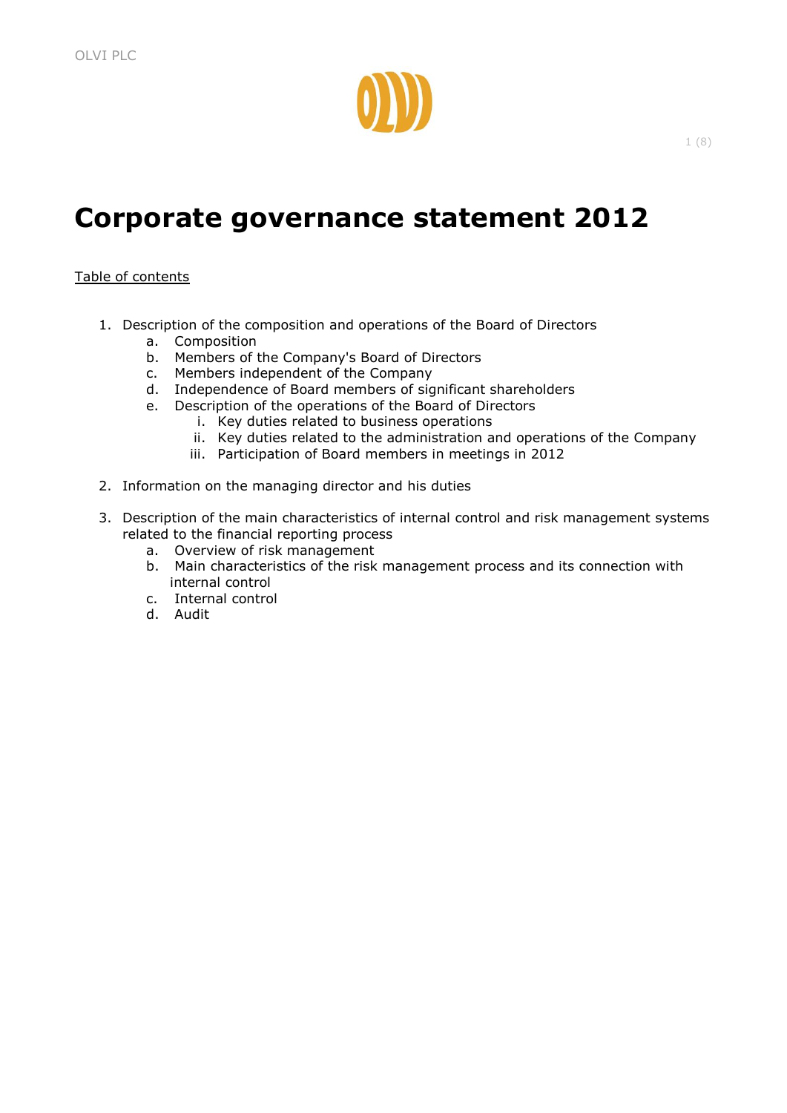

# **Corporate governance statement 2012**

# Table of contents

- 1. Description of the composition and operations of the Board of Directors
	- a. Composition
	- b. Members of the Company's Board of Directors
	- c. Members independent of the Company
	- d. Independence of Board members of significant shareholders
	- e. Description of the operations of the Board of Directors
		- i. Key duties related to business operations
		- ii. Key duties related to the administration and operations of the Company
		- iii. Participation of Board members in meetings in 2012
- 2. Information on the managing director and his duties
- 3. Description of the main characteristics of internal control and risk management systems related to the financial reporting process
	- a. Overview of risk management
	- b. Main characteristics of the risk management process and its connection with internal control
	- c. Internal control
	- d. Audit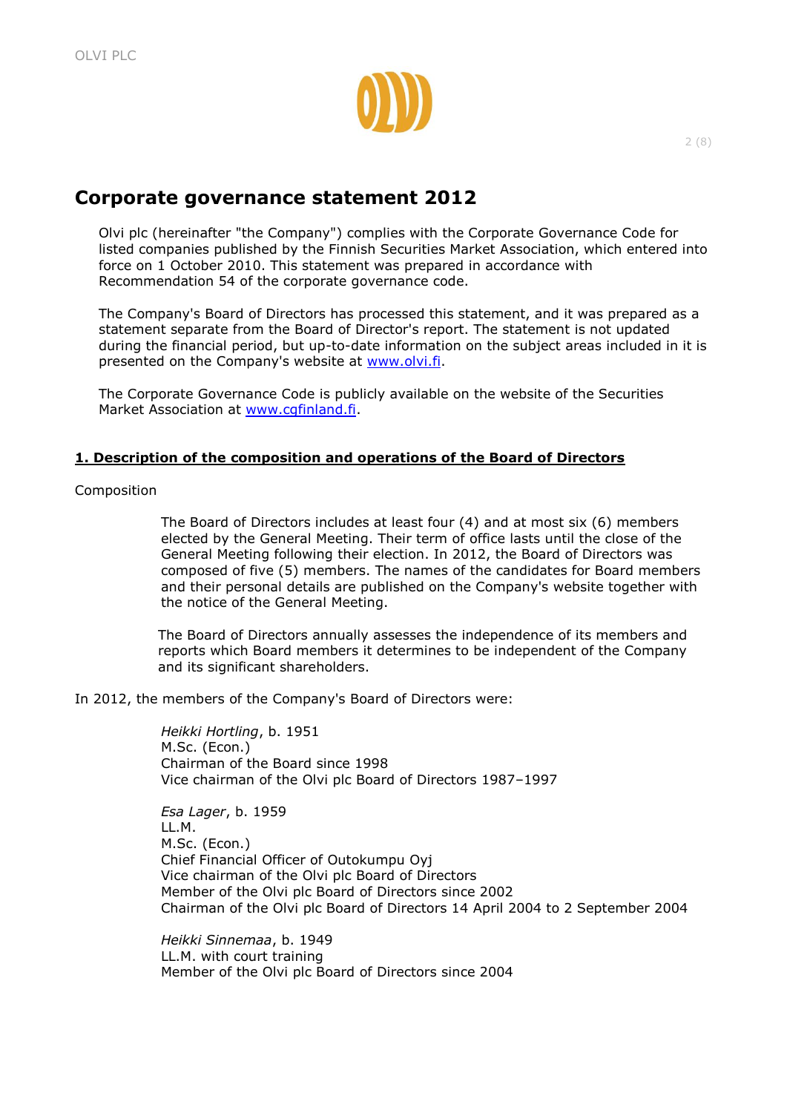

# **Corporate governance statement 2012**

Olvi plc (hereinafter "the Company") complies with the Corporate Governance Code for listed companies published by the Finnish Securities Market Association, which entered into force on 1 October 2010. This statement was prepared in accordance with Recommendation 54 of the corporate governance code.

The Company's Board of Directors has processed this statement, and it was prepared as a statement separate from the Board of Director's report. The statement is not updated during the financial period, but up-to-date information on the subject areas included in it is presented on the Company's website at [www.olvi.fi.](http://www.olvi.fi/)

The Corporate Governance Code is publicly available on the website of the Securities Market Association at [www.cgfinland.fi.](http://www.cgfinland.fi/)

# **1. Description of the composition and operations of the Board of Directors**

Composition

The Board of Directors includes at least four (4) and at most six (6) members elected by the General Meeting. Their term of office lasts until the close of the General Meeting following their election. In 2012, the Board of Directors was composed of five (5) members. The names of the candidates for Board members and their personal details are published on the Company's website together with the notice of the General Meeting.

The Board of Directors annually assesses the independence of its members and reports which Board members it determines to be independent of the Company and its significant shareholders.

In 2012, the members of the Company's Board of Directors were:

*Heikki Hortling*, b. 1951 M.Sc. (Econ.) Chairman of the Board since 1998 Vice chairman of the Olvi plc Board of Directors 1987–1997

*Esa Lager*, b. 1959 LL.M. M.Sc. (Econ.) Chief Financial Officer of Outokumpu Oyj Vice chairman of the Olvi plc Board of Directors Member of the Olvi plc Board of Directors since 2002 Chairman of the Olvi plc Board of Directors 14 April 2004 to 2 September 2004

*Heikki Sinnemaa*, b. 1949 LL.M. with court training Member of the Olvi plc Board of Directors since 2004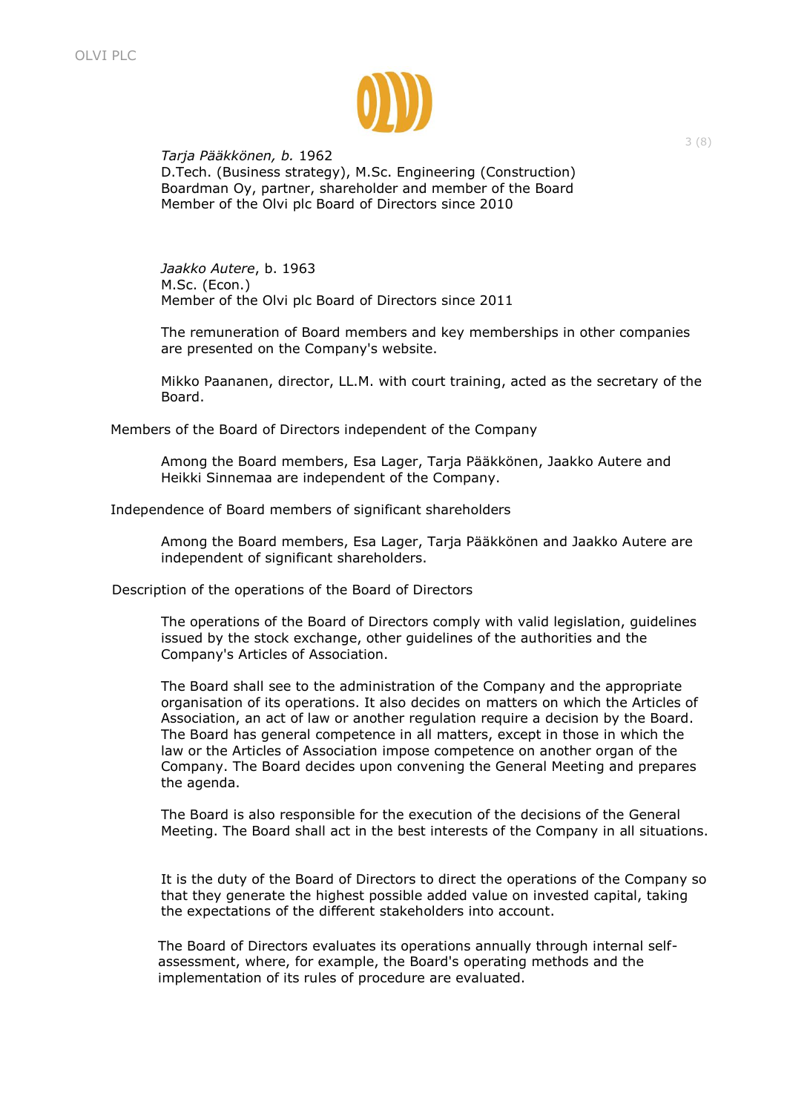

*Tarja Pääkkönen, b.* 1962 D.Tech. (Business strategy), M.Sc. Engineering (Construction) Boardman Oy, partner, shareholder and member of the Board Member of the Olvi plc Board of Directors since 2010

*Jaakko Autere*, b. 1963 M.Sc. (Econ.) Member of the Olvi plc Board of Directors since 2011

The remuneration of Board members and key memberships in other companies are presented on the Company's website.

Mikko Paananen, director, LL.M. with court training, acted as the secretary of the Board.

Members of the Board of Directors independent of the Company

Among the Board members, Esa Lager, Tarja Pääkkönen, Jaakko Autere and Heikki Sinnemaa are independent of the Company.

Independence of Board members of significant shareholders

Among the Board members, Esa Lager, Tarja Pääkkönen and Jaakko Autere are independent of significant shareholders.

Description of the operations of the Board of Directors

The operations of the Board of Directors comply with valid legislation, guidelines issued by the stock exchange, other guidelines of the authorities and the Company's Articles of Association.

The Board shall see to the administration of the Company and the appropriate organisation of its operations. It also decides on matters on which the Articles of Association, an act of law or another regulation require a decision by the Board. The Board has general competence in all matters, except in those in which the law or the Articles of Association impose competence on another organ of the Company. The Board decides upon convening the General Meeting and prepares the agenda.

The Board is also responsible for the execution of the decisions of the General Meeting. The Board shall act in the best interests of the Company in all situations.

It is the duty of the Board of Directors to direct the operations of the Company so that they generate the highest possible added value on invested capital, taking the expectations of the different stakeholders into account.

The Board of Directors evaluates its operations annually through internal selfassessment, where, for example, the Board's operating methods and the implementation of its rules of procedure are evaluated.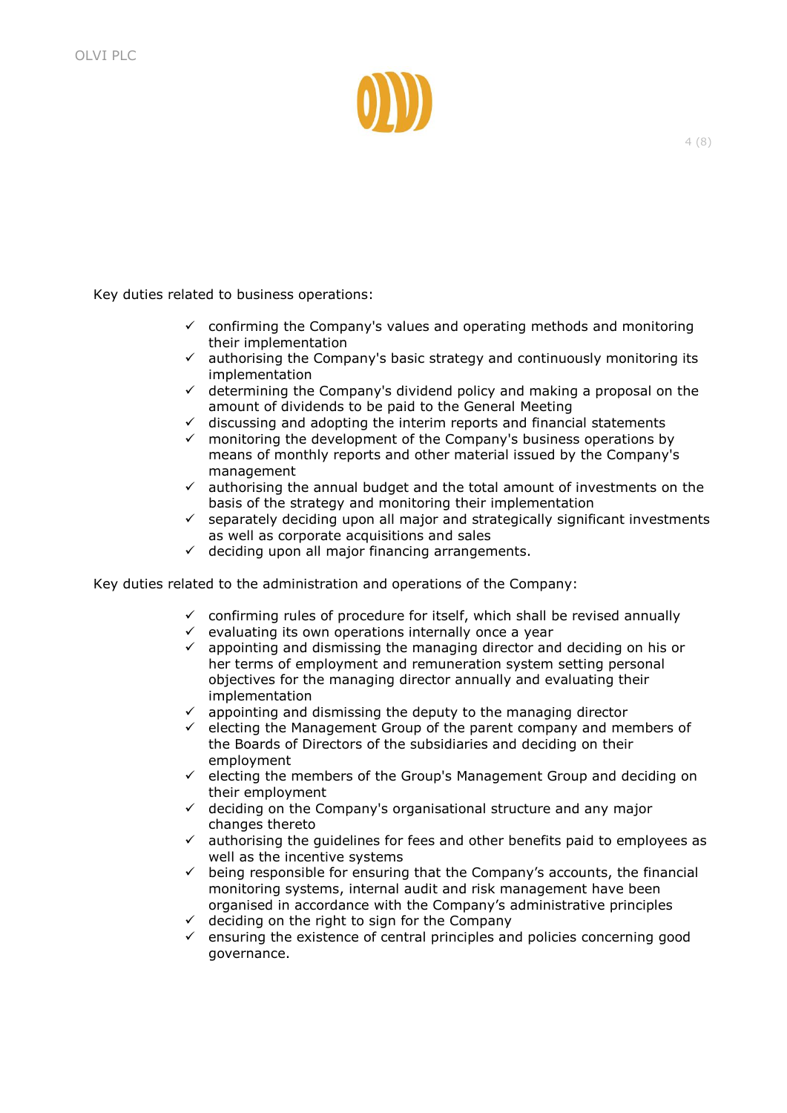

Key duties related to business operations:

- $\checkmark$  confirming the Company's values and operating methods and monitoring their implementation
- $\checkmark$  authorising the Company's basic strategy and continuously monitoring its implementation
- $\checkmark$  determining the Company's dividend policy and making a proposal on the amount of dividends to be paid to the General Meeting
- $\checkmark$  discussing and adopting the interim reports and financial statements
- $\checkmark$  monitoring the development of the Company's business operations by means of monthly reports and other material issued by the Company's management
- $\checkmark$  authorising the annual budget and the total amount of investments on the basis of the strategy and monitoring their implementation
- $\checkmark$  separately deciding upon all major and strategically significant investments as well as corporate acquisitions and sales
- $\checkmark$  deciding upon all major financing arrangements.

Key duties related to the administration and operations of the Company:

- $\checkmark$  confirming rules of procedure for itself, which shall be revised annually
- $\checkmark$  evaluating its own operations internally once a year
- $\checkmark$  appointing and dismissing the managing director and deciding on his or her terms of employment and remuneration system setting personal objectives for the managing director annually and evaluating their implementation
- $\checkmark$  appointing and dismissing the deputy to the managing director
- $\checkmark$  electing the Management Group of the parent company and members of the Boards of Directors of the subsidiaries and deciding on their employment
- $\checkmark$  electing the members of the Group's Management Group and deciding on their employment
- $\checkmark$  deciding on the Company's organisational structure and any major changes thereto
- $\checkmark$  authorising the guidelines for fees and other benefits paid to employees as well as the incentive systems
- $\checkmark$  being responsible for ensuring that the Company's accounts, the financial monitoring systems, internal audit and risk management have been organised in accordance with the Company's administrative principles
- $\checkmark$  deciding on the right to sign for the Company
- $\checkmark$  ensuring the existence of central principles and policies concerning good governance.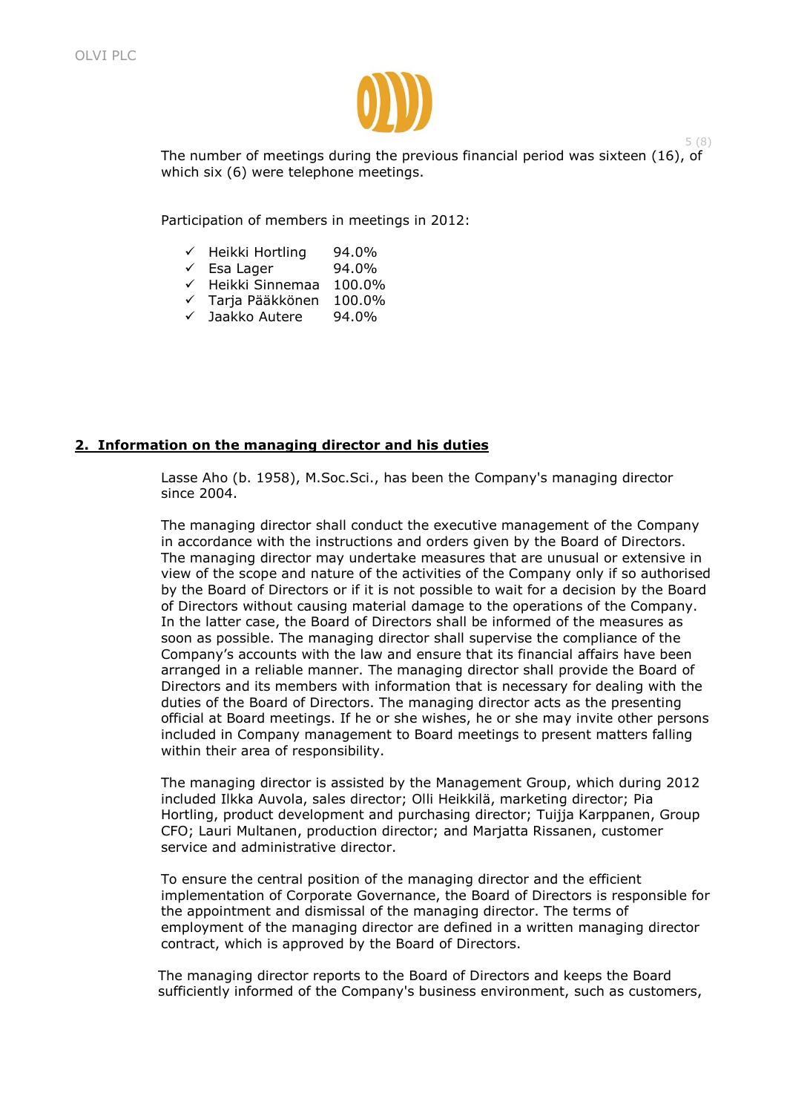

The number of meetings during the previous financial period was sixteen (16), of which six (6) were telephone meetings.

5 (8)

Participation of members in meetings in 2012:

- $\checkmark$  Heikki Hortling 94.0%
- $\checkmark$  Esa Lager 94.0%
- $\checkmark$  Heikki Sinnemaa 100.0%
- $\times$  Taria Pääkkönen 100.0%
- $\sqrt{ }$  Jaakko Autere 94.0%

# **2. Information on the managing director and his duties**

Lasse Aho (b. 1958), M.Soc.Sci., has been the Company's managing director since 2004.

The managing director shall conduct the executive management of the Company in accordance with the instructions and orders given by the Board of Directors. The managing director may undertake measures that are unusual or extensive in view of the scope and nature of the activities of the Company only if so authorised by the Board of Directors or if it is not possible to wait for a decision by the Board of Directors without causing material damage to the operations of the Company. In the latter case, the Board of Directors shall be informed of the measures as soon as possible. The managing director shall supervise the compliance of the Company's accounts with the law and ensure that its financial affairs have been arranged in a reliable manner. The managing director shall provide the Board of Directors and its members with information that is necessary for dealing with the duties of the Board of Directors. The managing director acts as the presenting official at Board meetings. If he or she wishes, he or she may invite other persons included in Company management to Board meetings to present matters falling within their area of responsibility.

The managing director is assisted by the Management Group, which during 2012 included Ilkka Auvola, sales director; Olli Heikkilä, marketing director; Pia Hortling, product development and purchasing director; Tuijja Karppanen, Group CFO; Lauri Multanen, production director; and Marjatta Rissanen, customer service and administrative director.

To ensure the central position of the managing director and the efficient implementation of Corporate Governance, the Board of Directors is responsible for the appointment and dismissal of the managing director. The terms of employment of the managing director are defined in a written managing director contract, which is approved by the Board of Directors.

The managing director reports to the Board of Directors and keeps the Board sufficiently informed of the Company's business environment, such as customers,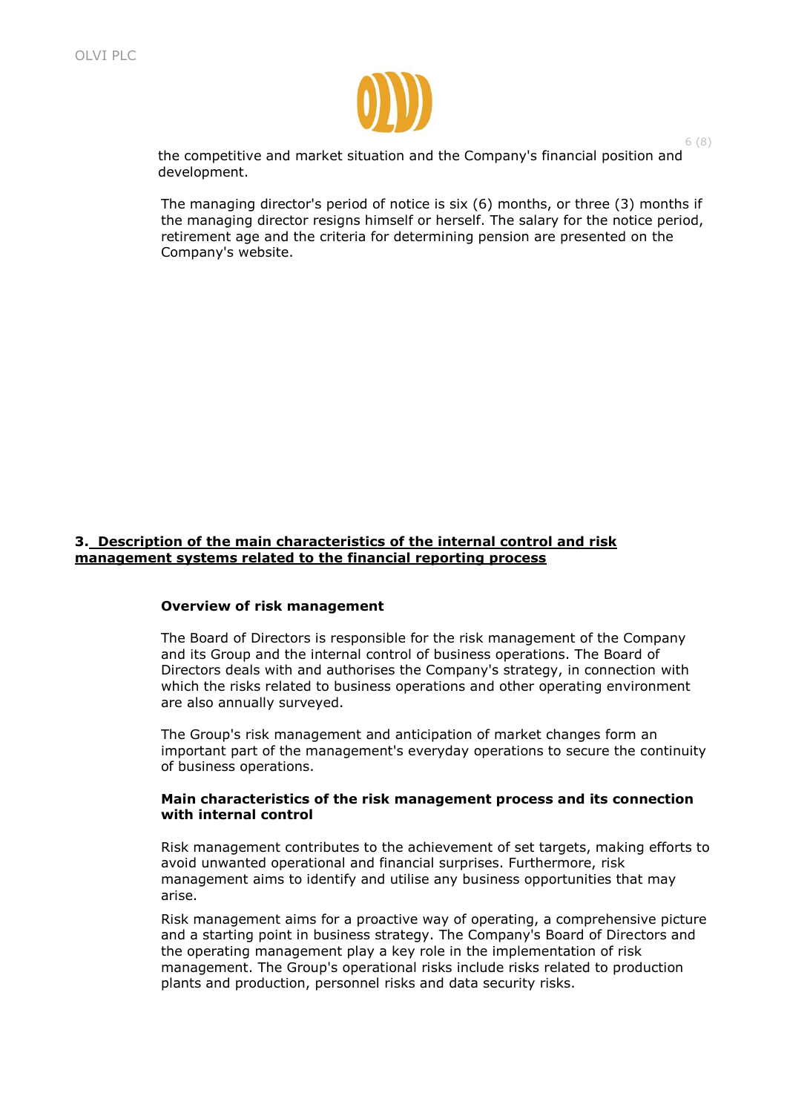

the competitive and market situation and the Company's financial position and development.

6 (8)

The managing director's period of notice is six (6) months, or three (3) months if the managing director resigns himself or herself. The salary for the notice period, retirement age and the criteria for determining pension are presented on the Company's website.

# **3. Description of the main characteristics of the internal control and risk management systems related to the financial reporting process**

#### **Overview of risk management**

The Board of Directors is responsible for the risk management of the Company and its Group and the internal control of business operations. The Board of Directors deals with and authorises the Company's strategy, in connection with which the risks related to business operations and other operating environment are also annually surveyed.

The Group's risk management and anticipation of market changes form an important part of the management's everyday operations to secure the continuity of business operations.

#### **Main characteristics of the risk management process and its connection with internal control**

Risk management contributes to the achievement of set targets, making efforts to avoid unwanted operational and financial surprises. Furthermore, risk management aims to identify and utilise any business opportunities that may arise.

Risk management aims for a proactive way of operating, a comprehensive picture and a starting point in business strategy. The Company's Board of Directors and the operating management play a key role in the implementation of risk management. The Group's operational risks include risks related to production plants and production, personnel risks and data security risks.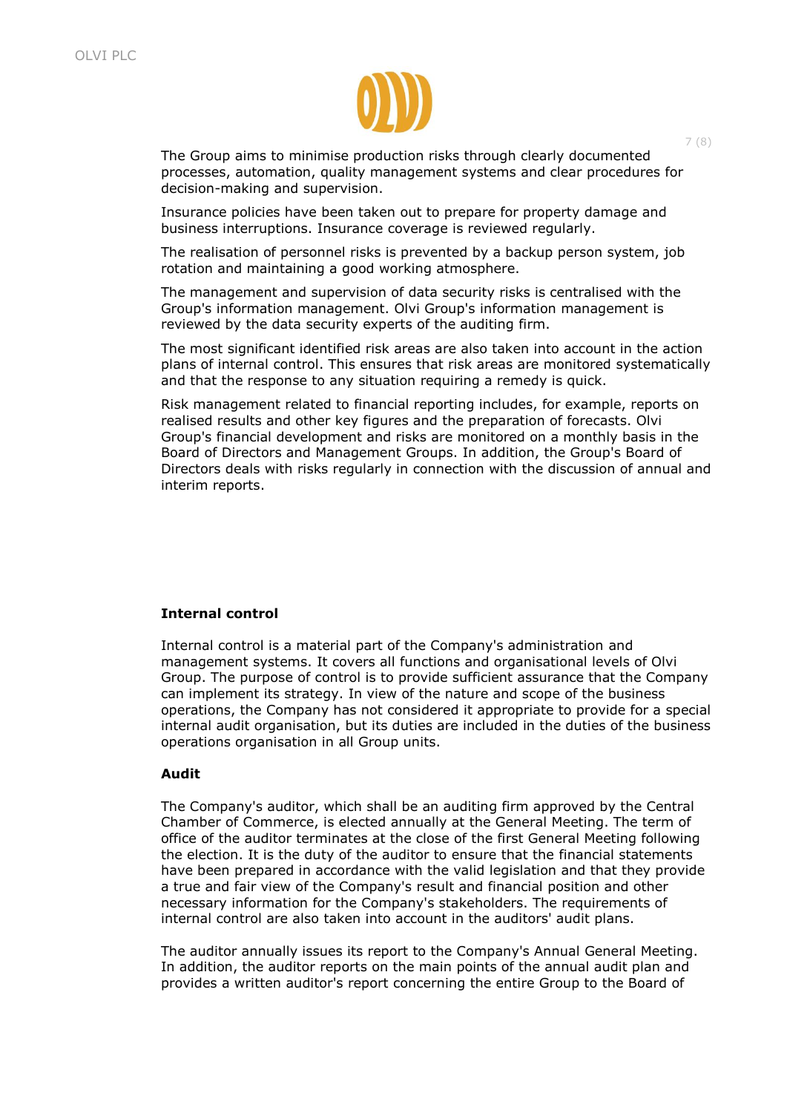

The Group aims to minimise production risks through clearly documented processes, automation, quality management systems and clear procedures for decision-making and supervision.

Insurance policies have been taken out to prepare for property damage and business interruptions. Insurance coverage is reviewed regularly.

The realisation of personnel risks is prevented by a backup person system, job rotation and maintaining a good working atmosphere.

The management and supervision of data security risks is centralised with the Group's information management. Olvi Group's information management is reviewed by the data security experts of the auditing firm.

The most significant identified risk areas are also taken into account in the action plans of internal control. This ensures that risk areas are monitored systematically and that the response to any situation requiring a remedy is quick.

Risk management related to financial reporting includes, for example, reports on realised results and other key figures and the preparation of forecasts. Olvi Group's financial development and risks are monitored on a monthly basis in the Board of Directors and Management Groups. In addition, the Group's Board of Directors deals with risks regularly in connection with the discussion of annual and interim reports.

#### **Internal control**

Internal control is a material part of the Company's administration and management systems. It covers all functions and organisational levels of Olvi Group. The purpose of control is to provide sufficient assurance that the Company can implement its strategy. In view of the nature and scope of the business operations, the Company has not considered it appropriate to provide for a special internal audit organisation, but its duties are included in the duties of the business operations organisation in all Group units.

#### **Audit**

The Company's auditor, which shall be an auditing firm approved by the Central Chamber of Commerce, is elected annually at the General Meeting. The term of office of the auditor terminates at the close of the first General Meeting following the election. It is the duty of the auditor to ensure that the financial statements have been prepared in accordance with the valid legislation and that they provide a true and fair view of the Company's result and financial position and other necessary information for the Company's stakeholders. The requirements of internal control are also taken into account in the auditors' audit plans.

The auditor annually issues its report to the Company's Annual General Meeting. In addition, the auditor reports on the main points of the annual audit plan and provides a written auditor's report concerning the entire Group to the Board of